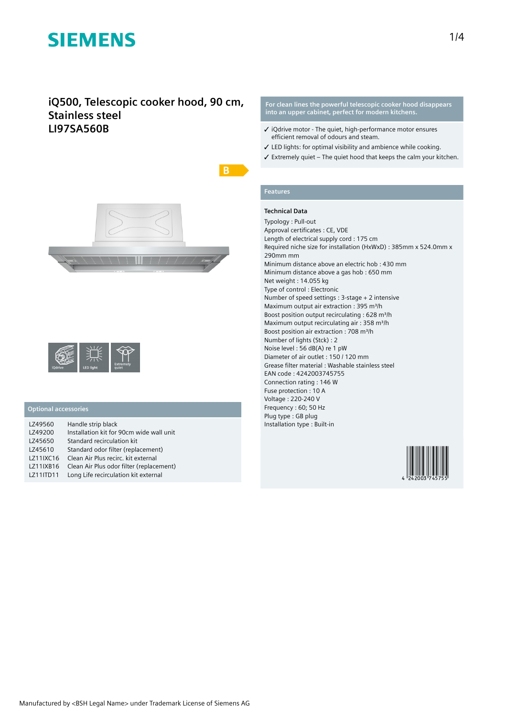## **iQ500, Telescopic cooker hood, 90 cm, Stainless steel LI97SA560B**



|         |                  | <b>Extremely</b> |
|---------|------------------|------------------|
| iQdrive | <b>LED light</b> | quiet            |

### **Optional accessories**

| LZ49560   | Handle strip black                       |
|-----------|------------------------------------------|
| LZ49200   | Installation kit for 90cm wide wall unit |
| LZ45650   | Standard recirculation kit               |
| LZ45610   | Standard odor filter (replacement)       |
| LZ11IXC16 | Clean Air Plus recirc, kit external      |
| LZ11IXB16 | Clean Air Plus odor filter (replacement) |
| LZ11ITD11 | Long Life recirculation kit external     |

**For clean lines the powerful telescopic cooker hood disappears into an upper cabinet, perfect for modern kitchens.**

- ✓ iQdrive motor The quiet, high-performance motor ensures efficient removal of odours and steam.
- ✓ LED lights: for optimal visibility and ambience while cooking.
- $\checkmark$  Extremely quiet The quiet hood that keeps the calm your kitchen.

### **Features**

 $B$ 

### **Technical Data**

Typology : Pull-out Approval certificates : CE, VDE Length of electrical supply cord : 175 cm Required niche size for installation (HxWxD) : 385mm x 524.0mm x 290mm mm Minimum distance above an electric hob : 430 mm Minimum distance above a gas hob : 650 mm Net weight : 14.055 kg Type of control : Electronic Number of speed settings : 3-stage + 2 intensive Maximum output air extraction : 395 m<sup>3</sup>/h Boost position output recirculating : 628 m<sup>3</sup>/h Maximum output recirculating air : 358 m<sup>3</sup>/h Boost position air extraction : 708 m<sup>3</sup>/h Number of lights (Stck) : 2 Noise level : 56 dB(A) re 1 pW Diameter of air outlet : 150 / 120 mm Grease filter material : Washable stainless steel EAN code : 4242003745755 Connection rating : 146 W Fuse protection : 10 A Voltage : 220-240 V Frequency : 60; 50 Hz Plug type : GB plug Installation type : Built-in

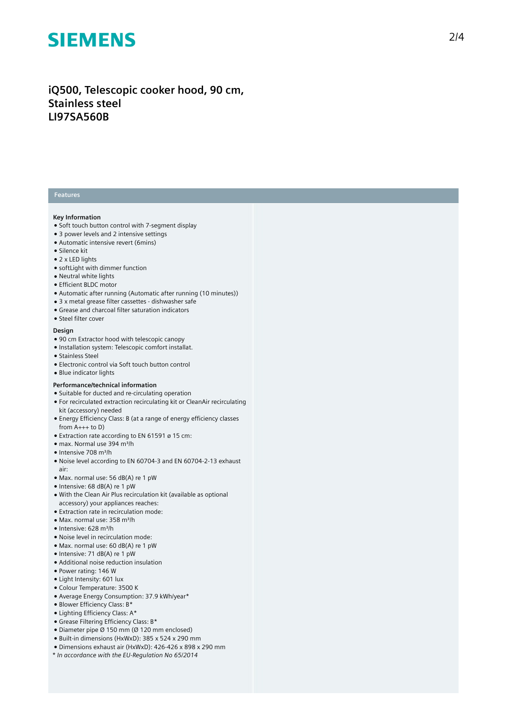## iQ500, Telescopic cooker hood, 90 cm, **S t a i n l e s s s t e e l L I 9 7 S A 5 6 0 B**

#### **Features**

#### **K e y I n f o r m a t i o n**

- Soft touch button control with 7-segment display
- 3 power levels and 2 intensive settings
- Automatic intensive revert (6mins)
- Silence kit
- 2 x LED lights
- $\bullet$  softLight with dimmer function
- Neutral white lights
- Efficient BLDC motor
- Automatic after running (Automatic after running (10 minutes))
- 3 x metal grease filter cassettes dishwasher safe
- Grease and charcoal filter saturation indicators
- Steel filter cover

#### **Design**

- 90 cm Extractor hood with telescopic canopy
- Installation system: Telescopic comfort installat.
- Stainless Steel
- Electronic control via Soft touch button control
- Blue indicator lights

### **Performance/technical information**

- Suitable for ducted and re-circulating operation
- $\bullet$  For recirculated extraction recirculating kit or CleanAir recirculating kit (accessory) needed
- Energy Efficiency Class: B (at a range of energy efficiency classes from A+++ to D)
- $\bullet$  Extraction rate according to EN 61591 ø 15 cm:
- max. Normal use 394 m³/h
- Intensive 708 m³/h
- Noise level according to EN 60704-3 and EN 60704-2-13 exhaust a i r :
- Max. normal use: 56 dB(A) re 1 pW
- Intensive: 68 dB(A) re 1 pW
- With the Clean Air Plus recirculation kit (available as optional accessory) your appliances reaches:
- Extraction rate in recirculation mode:
- Max. normal use: 358 m³/h
- Intensive: 628 m³/h
- Noise level in recirculation mode:
- Max. normal use: 60 dB(A) re 1 pW
- Intensive: 71 dB(A) re 1 pW
- Additional noise reduction insulation
- Power rating: 146 W
- Light Intensity: 601 lux
- Colour Temperature: 3500 K
- Average Energy Consumption: 37.9 kWh/year\*
- Blower Efficiency Class: B\*
- Lighting Efficiency Class: A\*
- Grease Filtering Efficiency Class: B\*
- Diameter pipe  $\varnothing$  150 mm ( $\varnothing$  120 mm enclosed)
- Built-in dimensions (HxWxD): 385 x 524 x 290 mm
- Dimensions exhaust air (HxWxD): 426-426 x 898 x 290 mm
- *\* In accordance with the EU-Regulation No 65/2014*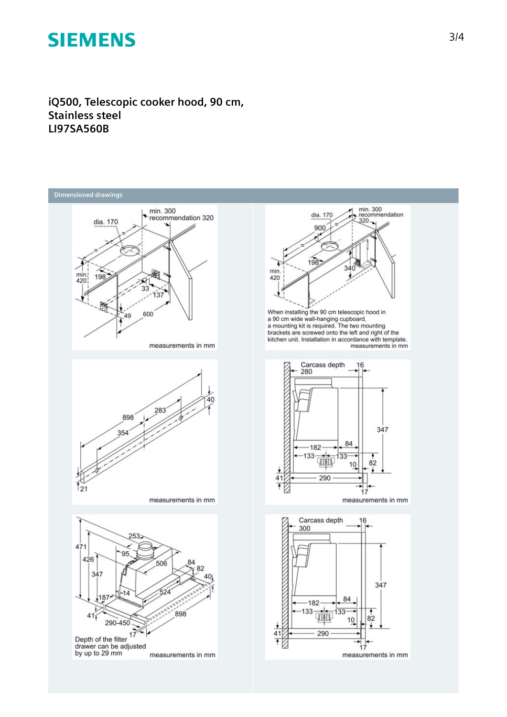**iQ500, Telescopic cooker hood, 90 cm, Stainless steel LI97SA560B**